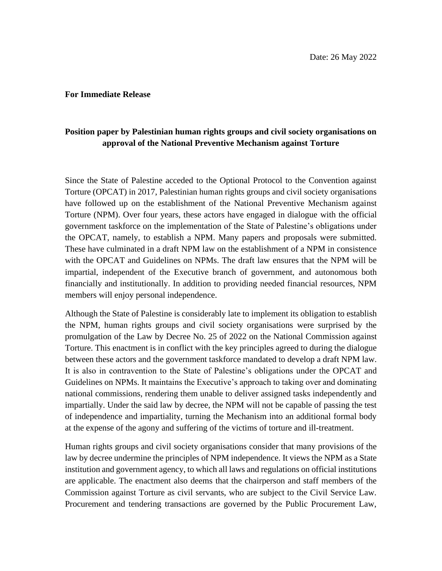## **For Immediate Release**

## **Position paper by Palestinian human rights groups and civil society organisations on approval of the National Preventive Mechanism against Torture**

Since the State of Palestine acceded to the Optional Protocol to the Convention against Torture (OPCAT) in 2017, Palestinian human rights groups and civil society organisations have followed up on the establishment of the National Preventive Mechanism against Torture (NPM). Over four years, these actors have engaged in dialogue with the official government taskforce on the implementation of the State of Palestine's obligations under the OPCAT, namely, to establish a NPM. Many papers and proposals were submitted. These have culminated in a draft NPM law on the establishment of a NPM in consistence with the OPCAT and Guidelines on NPMs. The draft law ensures that the NPM will be impartial, independent of the Executive branch of government, and autonomous both financially and institutionally. In addition to providing needed financial resources, NPM members will enjoy personal independence.

Although the State of Palestine is considerably late to implement its obligation to establish the NPM, human rights groups and civil society organisations were surprised by the promulgation of the Law by Decree No. 25 of 2022 on the National Commission against Torture. This enactment is in conflict with the key principles agreed to during the dialogue between these actors and the government taskforce mandated to develop a draft NPM law. It is also in contravention to the State of Palestine's obligations under the OPCAT and Guidelines on NPMs. It maintains the Executive's approach to taking over and dominating national commissions, rendering them unable to deliver assigned tasks independently and impartially. Under the said law by decree, the NPM will not be capable of passing the test of independence and impartiality, turning the Mechanism into an additional formal body at the expense of the agony and suffering of the victims of torture and ill-treatment.

Human rights groups and civil society organisations consider that many provisions of the law by decree undermine the principles of NPM independence. It views the NPM as a State institution and government agency, to which all laws and regulations on official institutions are applicable. The enactment also deems that the chairperson and staff members of the Commission against Torture as civil servants, who are subject to the Civil Service Law. Procurement and tendering transactions are governed by the Public Procurement Law,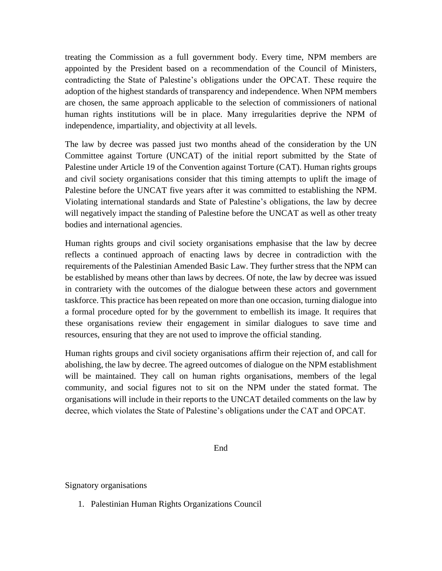treating the Commission as a full government body. Every time, NPM members are appointed by the President based on a recommendation of the Council of Ministers, contradicting the State of Palestine's obligations under the OPCAT. These require the adoption of the highest standards of transparency and independence. When NPM members are chosen, the same approach applicable to the selection of commissioners of national human rights institutions will be in place. Many irregularities deprive the NPM of independence, impartiality, and objectivity at all levels.

The law by decree was passed just two months ahead of the consideration by the UN Committee against Torture (UNCAT) of the initial report submitted by the State of Palestine under Article 19 of the Convention against Torture (CAT). Human rights groups and civil society organisations consider that this timing attempts to uplift the image of Palestine before the UNCAT five years after it was committed to establishing the NPM. Violating international standards and State of Palestine's obligations, the law by decree will negatively impact the standing of Palestine before the UNCAT as well as other treaty bodies and international agencies.

Human rights groups and civil society organisations emphasise that the law by decree reflects a continued approach of enacting laws by decree in contradiction with the requirements of the Palestinian Amended Basic Law. They further stress that the NPM can be established by means other than laws by decrees. Of note, the law by decree was issued in contrariety with the outcomes of the dialogue between these actors and government taskforce. This practice has been repeated on more than one occasion, turning dialogue into a formal procedure opted for by the government to embellish its image. It requires that these organisations review their engagement in similar dialogues to save time and resources, ensuring that they are not used to improve the official standing.

Human rights groups and civil society organisations affirm their rejection of, and call for abolishing, the law by decree. The agreed outcomes of dialogue on the NPM establishment will be maintained. They call on human rights organisations, members of the legal community, and social figures not to sit on the NPM under the stated format. The organisations will include in their reports to the UNCAT detailed comments on the law by decree, which violates the State of Palestine's obligations under the CAT and OPCAT.

End

Signatory organisations

1. Palestinian Human Rights Organizations Council